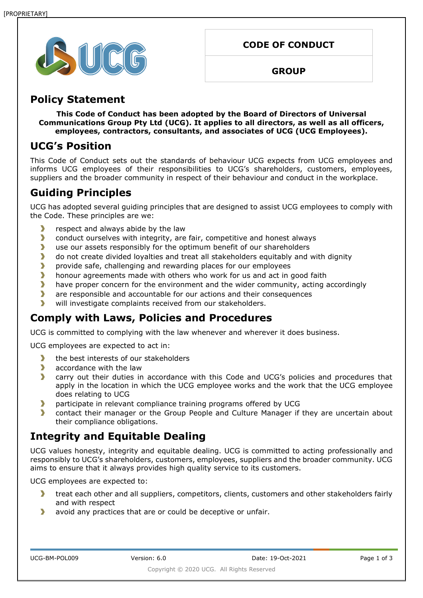

**CODE OF CONDUCT**

**GROUP**

### **Policy Statement**

**This Code of Conduct has been adopted by the Board of Directors of Universal Communications Group Pty Ltd (UCG). It applies to all directors, as well as all officers, employees, contractors, consultants, and associates of UCG (UCG Employees).**

### **UCG's Position**

This Code of Conduct sets out the standards of behaviour UCG expects from UCG employees and informs UCG employees of their responsibilities to UCG's shareholders, customers, employees, suppliers and the broader community in respect of their behaviour and conduct in the workplace.

# **Guiding Principles**

UCG has adopted several guiding principles that are designed to assist UCG employees to comply with the Code. These principles are we:

- $\blacktriangleright$ respect and always abide by the law
- $\blacktriangleright$ conduct ourselves with integrity, are fair, competitive and honest always
- $\blacktriangleright$ use our assets responsibly for the optimum benefit of our shareholders
- X do not create divided loyalties and treat all stakeholders equitably and with dignity
- $\blacktriangleright$ provide safe, challenging and rewarding places for our employees
- $\blacktriangleright$ honour agreements made with others who work for us and act in good faith
- $\overline{\phantom{a}}$ have proper concern for the environment and the wider community, acting accordingly
- $\blacktriangleright$ are responsible and accountable for our actions and their consequences
- $\blacktriangleright$ will investigate complaints received from our stakeholders.

## **Comply with Laws, Policies and Procedures**

UCG is committed to complying with the law whenever and wherever it does business.

UCG employees are expected to act in:

- $\blacktriangleright$ the best interests of our stakeholders
- $\blacktriangleright$ accordance with the law
- $\overline{\phantom{a}}$ carry out their duties in accordance with this Code and UCG's policies and procedures that apply in the location in which the UCG employee works and the work that the UCG employee does relating to UCG
- $\blacktriangleright$ participate in relevant compliance training programs offered by UCG
- У contact their manager or the Group People and Culture Manager if they are uncertain about their compliance obligations.

## **Integrity and Equitable Dealing**

UCG values honesty, integrity and equitable dealing. UCG is committed to acting professionally and responsibly to UCG's shareholders, customers, employees, suppliers and the broader community. UCG aims to ensure that it always provides high quality service to its customers.

UCG employees are expected to:

- $\blacktriangleright$ treat each other and all suppliers, competitors, clients, customers and other stakeholders fairly and with respect
- У avoid any practices that are or could be deceptive or unfair.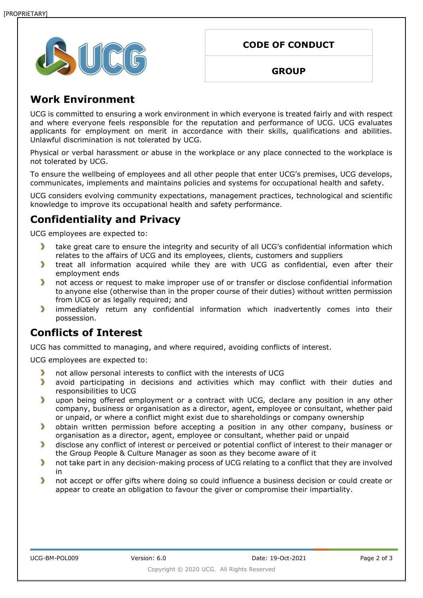

|  | <b>CODE OF CONDUCT</b> |  |
|--|------------------------|--|
|  |                        |  |

#### **GROUP**

### **Work Environment**

UCG is committed to ensuring a work environment in which everyone is treated fairly and with respect and where everyone feels responsible for the reputation and performance of UCG. UCG evaluates applicants for employment on merit in accordance with their skills, qualifications and abilities. Unlawful discrimination is not tolerated by UCG.

Physical or verbal harassment or abuse in the workplace or any place connected to the workplace is not tolerated by UCG.

To ensure the wellbeing of employees and all other people that enter UCG's premises, UCG develops, communicates, implements and maintains policies and systems for occupational health and safety.

UCG considers evolving community expectations, management practices, technological and scientific knowledge to improve its occupational health and safety performance.

## **Confidentiality and Privacy**

UCG employees are expected to:

- take great care to ensure the integrity and security of all UCG's confidential information which  $\blacktriangleright$ relates to the affairs of UCG and its employees, clients, customers and suppliers
- $\blacktriangleright$ treat all information acquired while they are with UCG as confidential, even after their employment ends
- $\mathbf{y}$ not access or request to make improper use of or transfer or disclose confidential information to anyone else (otherwise than in the proper course of their duties) without written permission from UCG or as legally required; and
- Y. immediately return any confidential information which inadvertently comes into their possession.

### **Conflicts of Interest**

UCG has committed to managing, and where required, avoiding conflicts of interest.

UCG employees are expected to:

- $\blacktriangleright$ not allow personal interests to conflict with the interests of UCG
- $\blacktriangleright$ avoid participating in decisions and activities which may conflict with their duties and responsibilities to UCG
- $\blacktriangleright$ upon being offered employment or a contract with UCG, declare any position in any other company, business or organisation as a director, agent, employee or consultant, whether paid or unpaid, or where a conflict might exist due to shareholdings or company ownership
- $\blacktriangleright$ obtain written permission before accepting a position in any other company, business or organisation as a director, agent, employee or consultant, whether paid or unpaid
- $\blacktriangleright$ disclose any conflict of interest or perceived or potential conflict of interest to their manager or the Group People & Culture Manager as soon as they become aware of it
- $\blacktriangleright$ not take part in any decision-making process of UCG relating to a conflict that they are involved in
- $\blacktriangleright$ not accept or offer gifts where doing so could influence a business decision or could create or appear to create an obligation to favour the giver or compromise their impartiality.